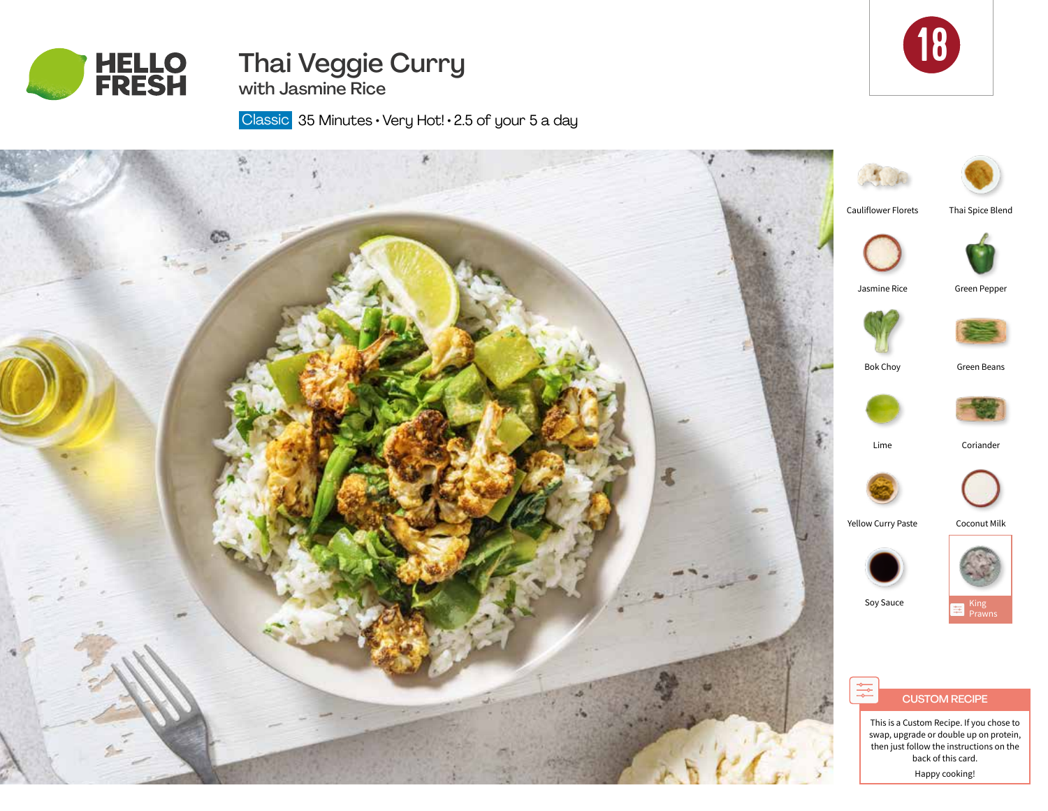



# Thai Veggie Curry with Jasmine Rice

Classic 35 Minutes · Very Hot! · 2.5 of your 5 a day